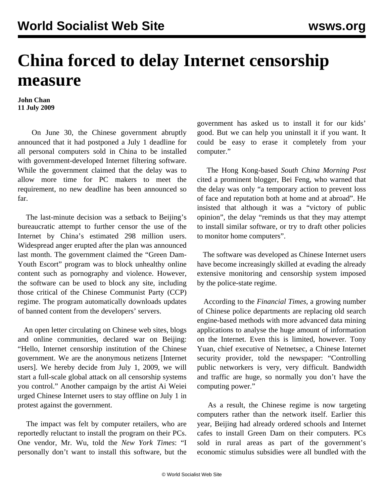## **China forced to delay Internet censorship measure**

**John Chan 11 July 2009**

 On June 30, the Chinese government abruptly announced that it had postponed a July 1 deadline for all personal computers sold in China to be installed with government-developed Internet filtering software. While the government claimed that the delay was to allow more time for PC makers to meet the requirement, no new deadline has been announced so far.

 The last-minute decision was a setback to Beijing's bureaucratic attempt to further censor the use of the Internet by China's estimated 298 million users. Widespread anger erupted after the plan was announced last month. The government claimed the "Green Dam-Youth Escort" program was to block unhealthy online content such as pornography and violence. However, the software can be used to block any site, including those critical of the Chinese Communist Party (CCP) regime. The program automatically downloads updates of banned content from the developers' servers.

 An open letter circulating on Chinese web sites, blogs and online communities, declared war on Beijing: "Hello, Internet censorship institution of the Chinese government. We are the anonymous netizens [Internet users]. We hereby decide from July 1, 2009, we will start a full-scale global attack on all censorship systems you control." Another campaign by the artist Ai Weiei urged Chinese Internet users to stay offline on July 1 in protest against the government.

 The impact was felt by computer retailers, who are reportedly reluctant to install the program on their PCs. One vendor, Mr. Wu, told the *New York Times*: "I personally don't want to install this software, but the government has asked us to install it for our kids' good. But we can help you uninstall it if you want. It could be easy to erase it completely from your computer."

 The Hong Kong-based *South China Morning Post* cited a prominent blogger, Bei Feng, who warned that the delay was only "a temporary action to prevent loss of face and reputation both at home and at abroad". He insisted that although it was a "victory of public opinion", the delay "reminds us that they may attempt to install similar software, or try to draft other policies to monitor home computers".

 The software was developed as Chinese Internet users have become increasingly skilled at evading the already extensive monitoring and censorship system imposed by the police-state regime.

 According to the *Financial Times*, a growing number of Chinese police departments are replacing old search engine-based methods with more advanced data mining applications to analyse the huge amount of information on the Internet. Even this is limited, however. Tony Yuan, chief executive of Netnetsec, a Chinese Internet security provider, told the newspaper: "Controlling public networkers is very, very difficult. Bandwidth and traffic are huge, so normally you don't have the computing power."

 As a result, the Chinese regime is now targeting computers rather than the network itself. Earlier this year, Beijing had already ordered schools and Internet cafes to install Green Dam on their computers. PCs sold in rural areas as part of the government's economic stimulus subsidies were all bundled with the